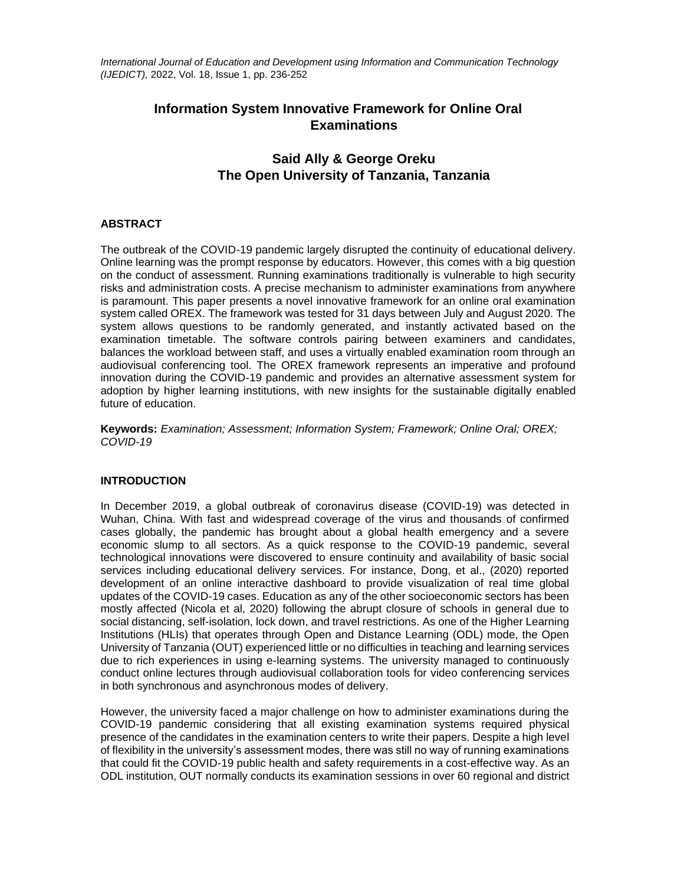*International Journal of Education and Development using Information and Communication Technology (IJEDICT),* 2022, Vol. 18, Issue 1, pp. 236-252

# **Information System Innovative Framework for Online Oral Examinations**

# **Said Ally & George Oreku The Open University of Tanzania, Tanzania**

# **ABSTRACT**

The outbreak of the COVID-19 pandemic largely disrupted the continuity of educational delivery. Online learning was the prompt response by educators. However, this comes with a big question on the conduct of assessment. Running examinations traditionally is vulnerable to high security risks and administration costs. A precise mechanism to administer examinations from anywhere is paramount. This paper presents a novel innovative framework for an online oral examination system called OREX. The framework was tested for 31 days between July and August 2020. The system allows questions to be randomly generated, and instantly activated based on the examination timetable. The software controls pairing between examiners and candidates, balances the workload between staff, and uses a virtually enabled examination room through an audiovisual conferencing tool. The OREX framework represents an imperative and profound innovation during the COVID-19 pandemic and provides an alternative assessment system for adoption by higher learning institutions, with new insights for the sustainable digitally enabled future of education.

**Keywords:** *Examination; Assessment; Information System; Framework; Online Oral; OREX; COVID-19*

# **INTRODUCTION**

In December 2019, a global outbreak of coronavirus disease (COVID-19) was detected in Wuhan, China. With fast and widespread coverage of the virus and thousands of confirmed cases globally, the pandemic has brought about a global health emergency and a severe economic slump to all sectors. As a quick response to the COVID-19 pandemic, several technological innovations were discovered to ensure continuity and availability of basic social services including educational delivery services. For instance, Dong, et al., (2020) reported development of an online interactive dashboard to provide visualization of real time global updates of the COVID-19 cases. Education as any of the other socioeconomic sectors has been mostly affected (Nicola et al, 2020) following the abrupt closure of schools in general due to social distancing, self-isolation, lock down, and travel restrictions. As one of the Higher Learning Institutions (HLIs) that operates through Open and Distance Learning (ODL) mode, the Open University of Tanzania (OUT) experienced little or no difficulties in teaching and learning services due to rich experiences in using e-learning systems. The university managed to continuously conduct online lectures through audiovisual collaboration tools for video conferencing services in both synchronous and asynchronous modes of delivery.

However, the university faced a major challenge on how to administer examinations during the COVID-19 pandemic considering that all existing examination systems required physical presence of the candidates in the examination centers to write their papers. Despite a high level of flexibility in the university's assessment modes, there was still no way of running examinations that could fit the COVID-19 public health and safety requirements in a cost-effective way. As an ODL institution, OUT normally conducts its examination sessions in over 60 regional and district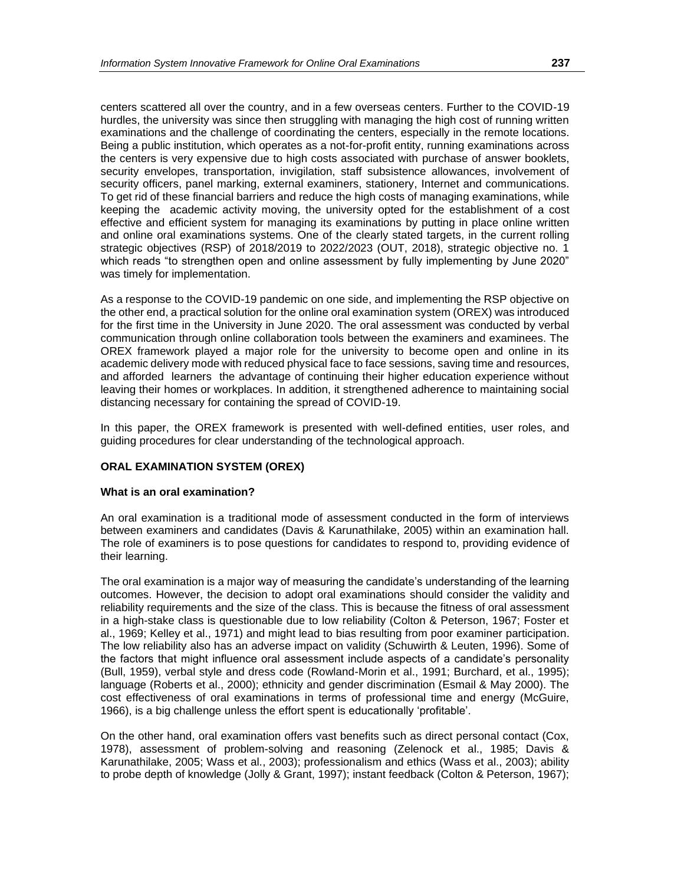centers scattered all over the country, and in a few overseas centers. Further to the COVID-19 hurdles, the university was since then struggling with managing the high cost of running written examinations and the challenge of coordinating the centers, especially in the remote locations. Being a public institution, which operates as a not-for-profit entity, running examinations across the centers is very expensive due to high costs associated with purchase of answer booklets, security envelopes, transportation, invigilation, staff subsistence allowances, involvement of security officers, panel marking, external examiners, stationery, Internet and communications. To get rid of these financial barriers and reduce the high costs of managing examinations, while keeping the academic activity moving, the university opted for the establishment of a cost effective and efficient system for managing its examinations by putting in place online written and online oral examinations systems. One of the clearly stated targets, in the current rolling strategic objectives (RSP) of 2018/2019 to 2022/2023 (OUT, 2018), strategic objective no. 1 which reads "to strengthen open and online assessment by fully implementing by June 2020" was timely for implementation.

As a response to the COVID-19 pandemic on one side, and implementing the RSP objective on the other end, a practical solution for the online oral examination system (OREX) was introduced for the first time in the University in June 2020. The oral assessment was conducted by verbal communication through online collaboration tools between the examiners and examinees. The OREX framework played a major role for the university to become open and online in its academic delivery mode with reduced physical face to face sessions, saving time and resources, and afforded learners the advantage of continuing their higher education experience without leaving their homes or workplaces. In addition, it strengthened adherence to maintaining social distancing necessary for containing the spread of COVID-19.

In this paper, the OREX framework is presented with well-defined entities, user roles, and guiding procedures for clear understanding of the technological approach.

#### **ORAL EXAMINATION SYSTEM (OREX)**

#### **What is an oral examination?**

An oral examination is a traditional mode of assessment conducted in the form of interviews between examiners and candidates (Davis & Karunathilake, 2005) within an examination hall. The role of examiners is to pose questions for candidates to respond to, providing evidence of their learning.

The oral examination is a major way of measuring the candidate's understanding of the learning outcomes. However, the decision to adopt oral examinations should consider the validity and reliability requirements and the size of the class. This is because the fitness of oral assessment in a high-stake class is questionable due to low reliability (Colton & Peterson, 1967; Foster et al., 1969; Kelley et al., 1971) and might lead to bias resulting from poor examiner participation. The low reliability also has an adverse impact on validity (Schuwirth & Leuten, 1996). Some of the factors that might influence oral assessment include aspects of a candidate's personality (Bull, 1959), verbal style and dress code (Rowland-Morin et al., 1991; Burchard, et al., 1995); language (Roberts et al., 2000); ethnicity and gender discrimination (Esmail & May 2000). The cost effectiveness of oral examinations in terms of professional time and energy (McGuire, 1966), is a big challenge unless the effort spent is educationally 'profitable'.

On the other hand, oral examination offers vast benefits such as direct personal contact (Cox, 1978), assessment of problem-solving and reasoning (Zelenock et al., 1985; Davis & Karunathilake, 2005; Wass et al., 2003); professionalism and ethics (Wass et al., 2003); ability to probe depth of knowledge (Jolly & Grant, 1997); instant feedback (Colton & Peterson, 1967);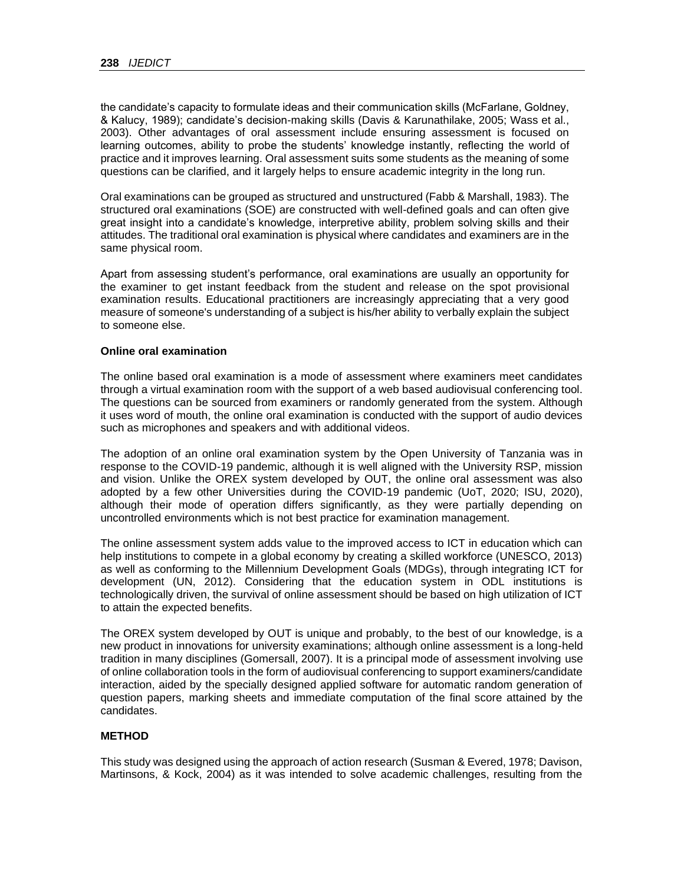the candidate's capacity to formulate ideas and their communication skills (McFarlane, Goldney, & Kalucy, 1989); candidate's decision-making skills (Davis & Karunathilake, 2005; Wass et al., 2003). Other advantages of oral assessment include ensuring assessment is focused on learning outcomes, ability to probe the students' knowledge instantly, reflecting the world of practice and it improves learning. Oral assessment suits some students as the meaning of some questions can be clarified, and it largely helps to ensure academic integrity in the long run.

Oral examinations can be grouped as structured and unstructured (Fabb & Marshall, 1983). The structured oral examinations (SOE) are constructed with well-defined goals and can often give great insight into a candidate's knowledge, interpretive ability, problem solving skills and their attitudes. The traditional oral examination is physical where candidates and examiners are in the same physical room.

Apart from assessing student's performance, oral examinations are usually an opportunity for the examiner to get instant feedback from the student and release on the spot provisional examination results. Educational practitioners are increasingly appreciating that a very good measure of someone's understanding of a subject is his/her ability to verbally explain the subject to someone else.

#### **Online oral examination**

The online based oral examination is a mode of assessment where examiners meet candidates through a virtual examination room with the support of a web based audiovisual conferencing tool. The questions can be sourced from examiners or randomly generated from the system. Although it uses word of mouth, the online oral examination is conducted with the support of audio devices such as microphones and speakers and with additional videos.

The adoption of an online oral examination system by the Open University of Tanzania was in response to the COVID-19 pandemic, although it is well aligned with the University RSP, mission and vision. Unlike the OREX system developed by OUT, the online oral assessment was also adopted by a few other Universities during the COVID-19 pandemic (UoT, 2020; ISU, 2020), although their mode of operation differs significantly, as they were partially depending on uncontrolled environments which is not best practice for examination management.

The online assessment system adds value to the improved access to ICT in education which can help institutions to compete in a global economy by creating a skilled workforce (UNESCO, 2013) as well as conforming to the Millennium Development Goals (MDGs), through integrating ICT for development (UN, 2012). Considering that the education system in ODL institutions is technologically driven, the survival of online assessment should be based on high utilization of ICT to attain the expected benefits.

The OREX system developed by OUT is unique and probably, to the best of our knowledge, is a new product in innovations for university examinations; although online assessment is a long-held tradition in many disciplines (Gomersall, 2007). It is a principal mode of assessment involving use of online collaboration tools in the form of audiovisual conferencing to support examiners/candidate interaction, aided by the specially designed applied software for automatic random generation of question papers, marking sheets and immediate computation of the final score attained by the candidates.

### **METHOD**

This study was designed using the approach of action research (Susman & Evered, 1978; Davison, Martinsons, & Kock, 2004) as it was intended to solve academic challenges, resulting from the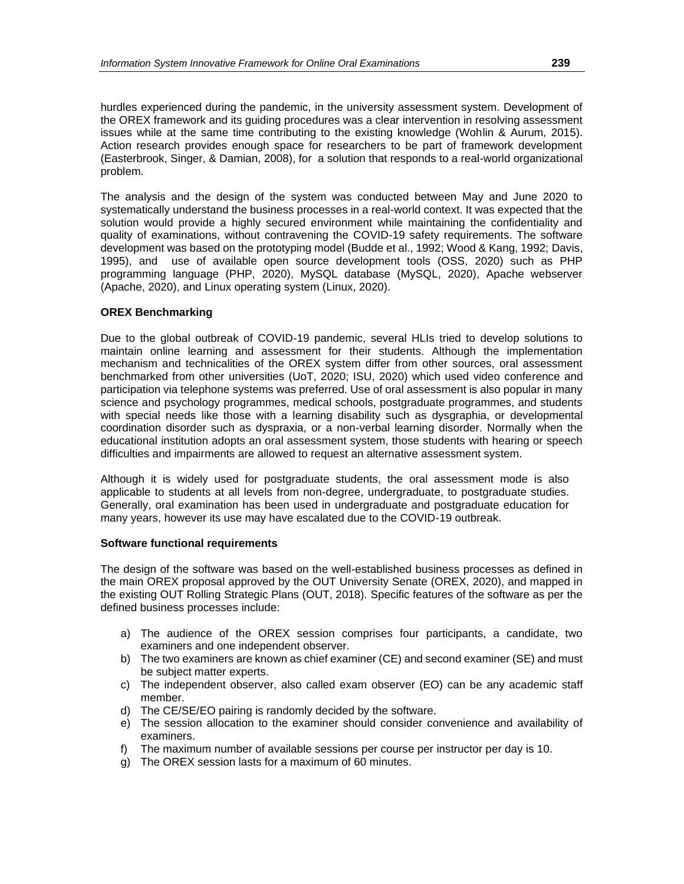hurdles experienced during the pandemic, in the university assessment system. Development of the OREX framework and its guiding procedures was a clear intervention in resolving assessment issues while at the same time contributing to the existing knowledge (Wohlin & Aurum, 2015). Action research provides enough space for researchers to be part of framework development (Easterbrook, Singer, & Damian, 2008), for a solution that responds to a real-world organizational problem.

The analysis and the design of the system was conducted between May and June 2020 to systematically understand the business processes in a real-world context. It was expected that the solution would provide a highly secured environment while maintaining the confidentiality and quality of examinations, without contravening the COVID-19 safety requirements. The software development was based on the prototyping model (Budde et al., 1992; Wood & Kang, 1992; Davis, 1995), and use of available open source development tools (OSS, 2020) such as PHP programming language (PHP, 2020), MySQL database (MySQL, 2020), Apache webserver (Apache, 2020), and Linux operating system (Linux, 2020).

# **OREX Benchmarking**

Due to the global outbreak of COVID-19 pandemic, several HLIs tried to develop solutions to maintain online learning and assessment for their students. Although the implementation mechanism and technicalities of the OREX system differ from other sources, oral assessment benchmarked from other universities (UoT, 2020; ISU, 2020) which used video conference and participation via telephone systems was preferred. Use of oral assessment is also popular in many science and psychology programmes, medical schools, postgraduate programmes, and students with special needs like those with a learning disability such as dysgraphia, or developmental coordination disorder such as dyspraxia, or a non-verbal learning disorder. Normally when the educational institution adopts an oral assessment system, those students with hearing or speech difficulties and impairments are allowed to request an alternative assessment system.

Although it is widely used for postgraduate students, the oral assessment mode is also applicable to students at all levels from non-degree, undergraduate, to postgraduate studies. Generally, oral examination has been used in undergraduate and postgraduate education for many years, however its use may have escalated due to the COVID-19 outbreak.

# **Software functional requirements**

The design of the software was based on the well-established business processes as defined in the main OREX proposal approved by the OUT University Senate (OREX, 2020), and mapped in the existing OUT Rolling Strategic Plans (OUT, 2018). Specific features of the software as per the defined business processes include:

- a) The audience of the OREX session comprises four participants, a candidate, two examiners and one independent observer.
- b) The two examiners are known as chief examiner (CE) and second examiner (SE) and must be subject matter experts.
- c) The independent observer, also called exam observer (EO) can be any academic staff member.
- d) The CE/SE/EO pairing is randomly decided by the software.
- e) The session allocation to the examiner should consider convenience and availability of examiners.
- f) The maximum number of available sessions per course per instructor per day is 10.
- g) The OREX session lasts for a maximum of 60 minutes.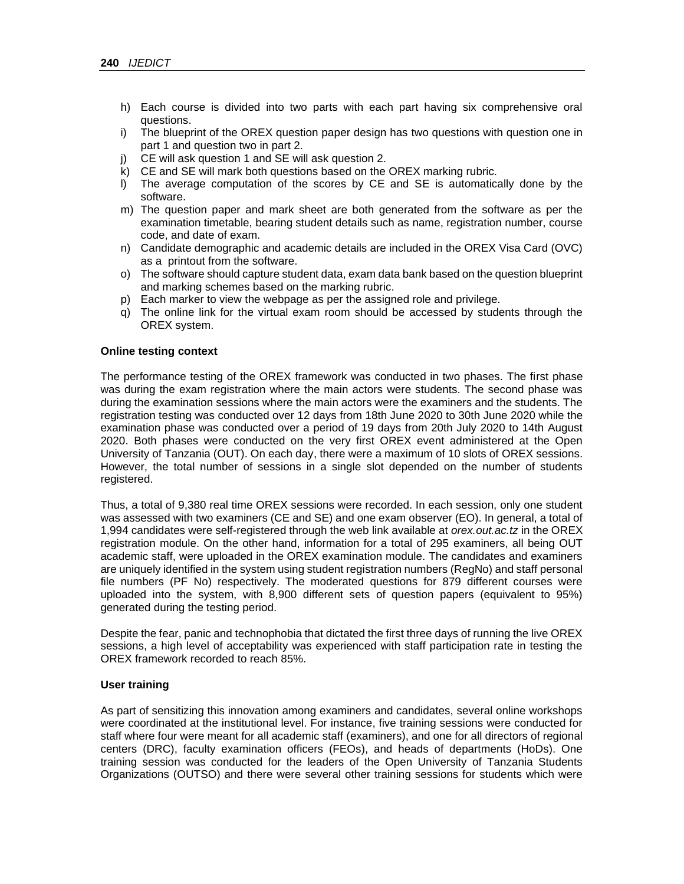- h) Each course is divided into two parts with each part having six comprehensive oral questions.
- i) The blueprint of the OREX question paper design has two questions with question one in part 1 and question two in part 2.
- j) CE will ask question 1 and SE will ask question 2.
- k) CE and SE will mark both questions based on the OREX marking rubric.
- l) The average computation of the scores by CE and SE is automatically done by the software.
- m) The question paper and mark sheet are both generated from the software as per the examination timetable, bearing student details such as name, registration number, course code, and date of exam.
- n) Candidate demographic and academic details are included in the OREX Visa Card (OVC) as a printout from the software.
- o) The software should capture student data, exam data bank based on the question blueprint and marking schemes based on the marking rubric.
- p) Each marker to view the webpage as per the assigned role and privilege.
- q) The online link for the virtual exam room should be accessed by students through the OREX system.

#### **Online testing context**

The performance testing of the OREX framework was conducted in two phases. The first phase was during the exam registration where the main actors were students. The second phase was during the examination sessions where the main actors were the examiners and the students. The registration testing was conducted over 12 days from 18th June 2020 to 30th June 2020 while the examination phase was conducted over a period of 19 days from 20th July 2020 to 14th August 2020. Both phases were conducted on the very first OREX event administered at the Open University of Tanzania (OUT). On each day, there were a maximum of 10 slots of OREX sessions. However, the total number of sessions in a single slot depended on the number of students registered.

Thus, a total of 9,380 real time OREX sessions were recorded. In each session, only one student was assessed with two examiners (CE and SE) and one exam observer (EO). In general, a total of 1,994 candidates were self-registered through the web link available at *orex.out.ac.tz* in the OREX registration module. On the other hand, information for a total of 295 examiners, all being OUT academic staff, were uploaded in the OREX examination module. The candidates and examiners are uniquely identified in the system using student registration numbers (RegNo) and staff personal file numbers (PF No) respectively. The moderated questions for 879 different courses were uploaded into the system, with 8,900 different sets of question papers (equivalent to 95%) generated during the testing period.

Despite the fear, panic and technophobia that dictated the first three days of running the live OREX sessions, a high level of acceptability was experienced with staff participation rate in testing the OREX framework recorded to reach 85%.

#### **User training**

As part of sensitizing this innovation among examiners and candidates, several online workshops were coordinated at the institutional level. For instance, five training sessions were conducted for staff where four were meant for all academic staff (examiners), and one for all directors of regional centers (DRC), faculty examination officers (FEOs), and heads of departments (HoDs). One training session was conducted for the leaders of the Open University of Tanzania Students Organizations (OUTSO) and there were several other training sessions for students which were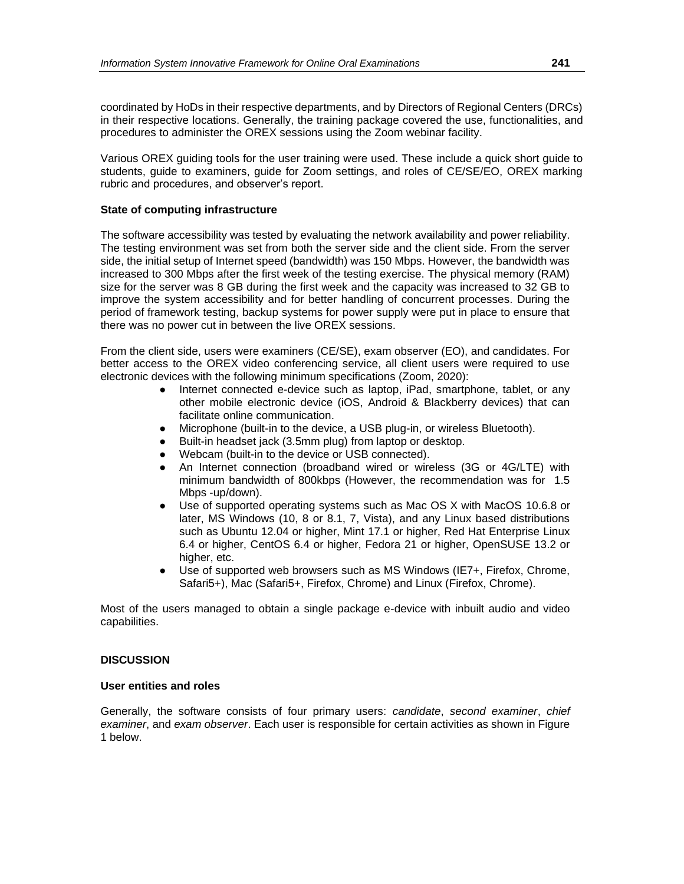coordinated by HoDs in their respective departments, and by Directors of Regional Centers (DRCs) in their respective locations. Generally, the training package covered the use, functionalities, and procedures to administer the OREX sessions using the Zoom webinar facility.

Various OREX guiding tools for the user training were used. These include a quick short guide to students, guide to examiners, guide for Zoom settings, and roles of CE/SE/EO, OREX marking rubric and procedures, and observer's report.

## **State of computing infrastructure**

The software accessibility was tested by evaluating the network availability and power reliability. The testing environment was set from both the server side and the client side. From the server side, the initial setup of Internet speed (bandwidth) was 150 Mbps. However, the bandwidth was increased to 300 Mbps after the first week of the testing exercise. The physical memory (RAM) size for the server was 8 GB during the first week and the capacity was increased to 32 GB to improve the system accessibility and for better handling of concurrent processes. During the period of framework testing, backup systems for power supply were put in place to ensure that there was no power cut in between the live OREX sessions.

From the client side, users were examiners (CE/SE), exam observer (EO), and candidates. For better access to the OREX video conferencing service, all client users were required to use electronic devices with the following minimum specifications (Zoom, 2020):

- Internet connected e-device such as laptop, iPad, smartphone, tablet, or any other mobile electronic device (iOS, Android & Blackberry devices) that can facilitate online communication.
- Microphone (built-in to the device, a USB plug-in, or wireless Bluetooth).
- Built-in headset jack (3.5mm plug) from laptop or desktop.
- Webcam (built-in to the device or USB connected).
- An Internet connection (broadband wired or wireless (3G or 4G/LTE) with minimum bandwidth of 800kbps (However, the recommendation was for 1.5 Mbps -up/down).
- Use of supported operating systems such as Mac OS X with MacOS 10.6.8 or later, MS Windows (10, 8 or 8.1, 7, Vista), and any Linux based distributions such as Ubuntu 12.04 or higher, Mint 17.1 or higher, Red Hat Enterprise Linux 6.4 or higher, CentOS 6.4 or higher, Fedora 21 or higher, OpenSUSE 13.2 or higher, etc.
- Use of supported web browsers such as MS Windows (IE7+, Firefox, Chrome, Safari5+), Mac (Safari5+, Firefox, Chrome) and Linux (Firefox, Chrome).

Most of the users managed to obtain a single package e-device with inbuilt audio and video capabilities.

#### **DISCUSSION**

#### **User entities and roles**

Generally, the software consists of four primary users: *candidate*, *second examiner*, *chief examiner*, and *exam observer*. Each user is responsible for certain activities as shown in Figure 1 below.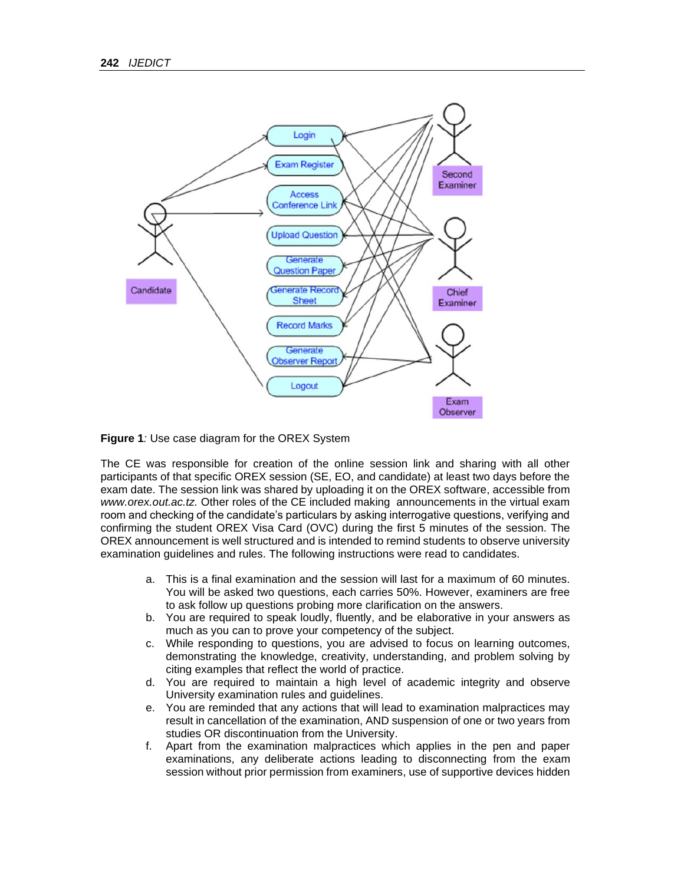

**Figure 1***:* Use case diagram for the OREX System

The CE was responsible for creation of the online session link and sharing with all other participants of that specific OREX session (SE, EO, and candidate) at least two days before the exam date. The session link was shared by uploading it on the OREX software, accessible from *www.orex.out.ac.tz.* Other roles of the CE included making announcements in the virtual exam room and checking of the candidate's particulars by asking interrogative questions, verifying and confirming the student OREX Visa Card (OVC) during the first 5 minutes of the session. The OREX announcement is well structured and is intended to remind students to observe university examination guidelines and rules. The following instructions were read to candidates.

- a. This is a final examination and the session will last for a maximum of 60 minutes. You will be asked two questions, each carries 50%. However, examiners are free to ask follow up questions probing more clarification on the answers.
- b. You are required to speak loudly, fluently, and be elaborative in your answers as much as you can to prove your competency of the subject.
- c. While responding to questions, you are advised to focus on learning outcomes, demonstrating the knowledge, creativity, understanding, and problem solving by citing examples that reflect the world of practice.
- d. You are required to maintain a high level of academic integrity and observe University examination rules and guidelines.
- e. You are reminded that any actions that will lead to examination malpractices may result in cancellation of the examination, AND suspension of one or two years from studies OR discontinuation from the University.
- f. Apart from the examination malpractices which applies in the pen and paper examinations, any deliberate actions leading to disconnecting from the exam session without prior permission from examiners, use of supportive devices hidden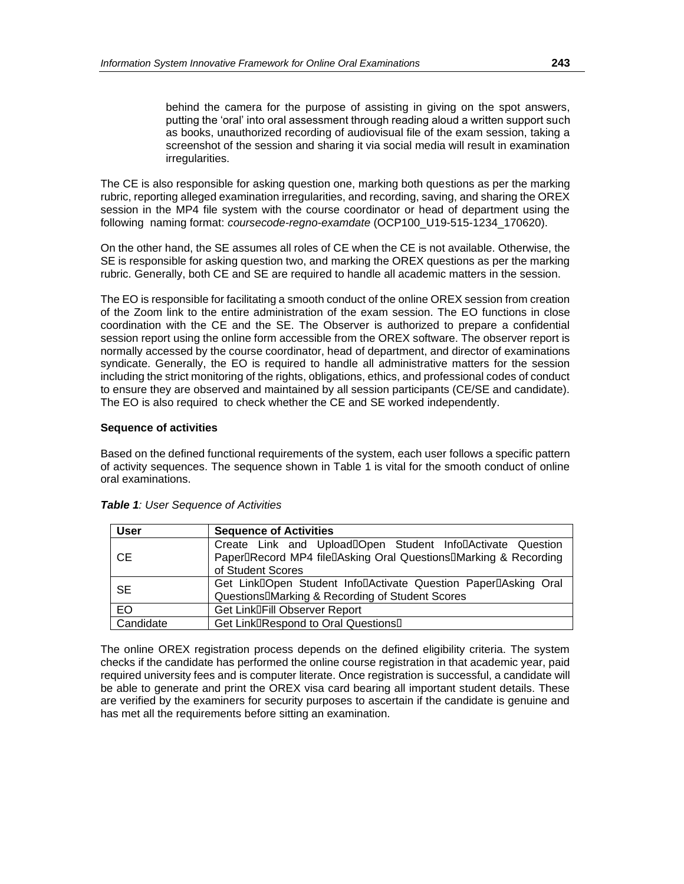behind the camera for the purpose of assisting in giving on the spot answers, putting the 'oral' into oral assessment through reading aloud a written support such as books, unauthorized recording of audiovisual file of the exam session, taking a screenshot of the session and sharing it via social media will result in examination irregularities.

The CE is also responsible for asking question one, marking both questions as per the marking rubric, reporting alleged examination irregularities, and recording, saving, and sharing the OREX session in the MP4 file system with the course coordinator or head of department using the following naming format: *coursecode-regno-examdate* (OCP100\_U19-515-1234\_170620).

On the other hand, the SE assumes all roles of CE when the CE is not available. Otherwise, the SE is responsible for asking question two, and marking the OREX questions as per the marking rubric. Generally, both CE and SE are required to handle all academic matters in the session.

The EO is responsible for facilitating a smooth conduct of the online OREX session from creation of the Zoom link to the entire administration of the exam session. The EO functions in close coordination with the CE and the SE. The Observer is authorized to prepare a confidential session report using the online form accessible from the OREX software. The observer report is normally accessed by the course coordinator, head of department, and director of examinations syndicate. Generally, the EO is required to handle all administrative matters for the session including the strict monitoring of the rights, obligations, ethics, and professional codes of conduct to ensure they are observed and maintained by all session participants (CE/SE and candidate). The EO is also required to check whether the CE and SE worked independently.

#### **Sequence of activities**

Based on the defined functional requirements of the system, each user follows a specific pattern of activity sequences. The sequence shown in Table 1 is vital for the smooth conduct of online oral examinations.

| <b>User</b> | <b>Sequence of Activities</b>                                                                                                                      |  |  |
|-------------|----------------------------------------------------------------------------------------------------------------------------------------------------|--|--|
| <b>CE</b>   | Create Link and UploadDOpen Student InfoDActivate Question<br>PaperDRecord MP4 fileDAsking Oral QuestionsDMarking & Recording<br>of Student Scores |  |  |
| <b>SE</b>   | Get LinkDOpen Student InfoDActivate Question PaperDAsking Oral<br>Questions <sup>[]</sup> Marking & Recording of Student Scores                    |  |  |
| EO          | Get Link <sup>IFill</sup> Observer Report                                                                                                          |  |  |
| Candidate   | Get LinklRespond to Oral Questionsl                                                                                                                |  |  |

*Table 1: User Sequence of Activities*

The online OREX registration process depends on the defined eligibility criteria. The system checks if the candidate has performed the online course registration in that academic year, paid required university fees and is computer literate. Once registration is successful, a candidate will be able to generate and print the OREX visa card bearing all important student details. These are verified by the examiners for security purposes to ascertain if the candidate is genuine and has met all the requirements before sitting an examination.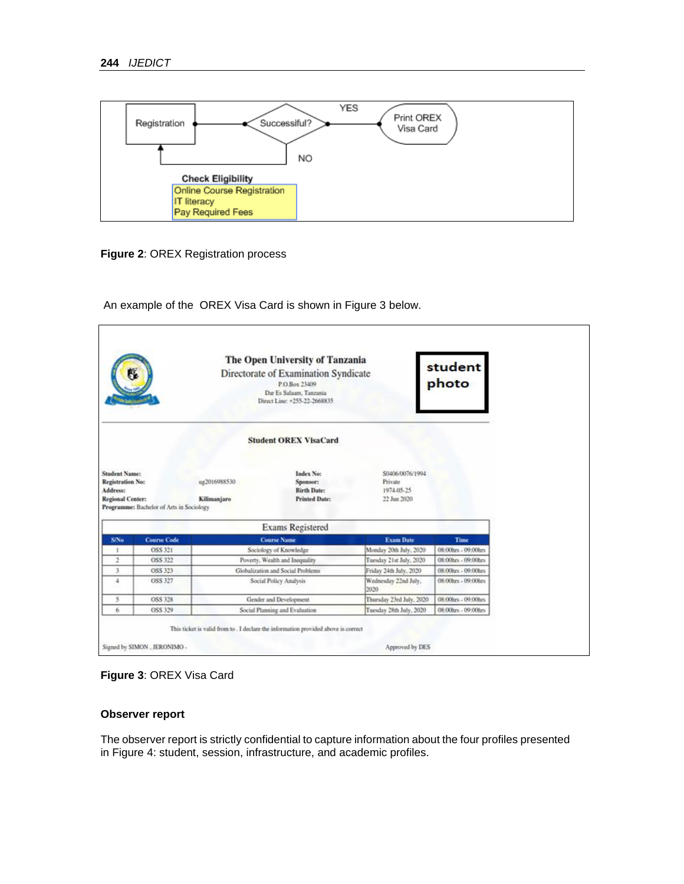

**Figure 2**: OREX Registration process

An example of the OREX Visa Card is shown in Figure 3 below.

| The Open University of Tanzania<br>Directorate of Examination Syndicate                                              |                    |                              | P.O.Box 23409<br>Dar Es Salaam, Tanzania<br>Direct Line: +255-22-2668835                                                        |                              | student<br>photo    |
|----------------------------------------------------------------------------------------------------------------------|--------------------|------------------------------|---------------------------------------------------------------------------------------------------------------------------------|------------------------------|---------------------|
|                                                                                                                      |                    | <b>Student OREX VisaCard</b> |                                                                                                                                 |                              |                     |
| <b>Student Name:</b><br>Registration No:<br>Address:<br>Regional Center:<br>Programme: Bachelor of Arts in Sociology |                    | ug2016988530<br>Kilimanjaro  | \$0406/0076/1994<br>Index No:<br>Sponsor:<br>Private<br><b>Birth Date:</b><br>1974-05-25<br><b>Printed Date:</b><br>22 Jun 2020 |                              |                     |
|                                                                                                                      |                    |                              |                                                                                                                                 |                              |                     |
|                                                                                                                      |                    |                              | <b>Exams Registered</b>                                                                                                         |                              |                     |
| S/No                                                                                                                 | <b>Course Code</b> |                              | <b>Course Name</b>                                                                                                              | <b>Exam Date</b>             | <b>Time</b>         |
| ٠                                                                                                                    | OSS 321            |                              | Sociology of Knowledge                                                                                                          | Monday 20th July, 2020       | 08:00hrs - 09:00hrs |
| 2                                                                                                                    | OSS 322            |                              | Poverty, Wealth and Inequality                                                                                                  | Tuesday 21st July, 2020      | 08:00hrs - 09:00hrs |
| 3                                                                                                                    | OSS 323            |                              | Globalization and Social Problems                                                                                               | Friday 24th July, 2020       | 08:00hrs - 09:00hrs |
| $\overline{a}$                                                                                                       | OSS 327            |                              | Social Policy Analysis                                                                                                          | Wednesday 22nd July.<br>2020 | 08:00hrs - 09:00hrs |
| 5                                                                                                                    | OSS 328            |                              | Gender and Development                                                                                                          | Thursday 23ed July, 2020     | 08:00hrs - 09:00hrs |



# **Observer report**

The observer report is strictly confidential to capture information about the four profiles presented in Figure 4: student, session, infrastructure, and academic profiles.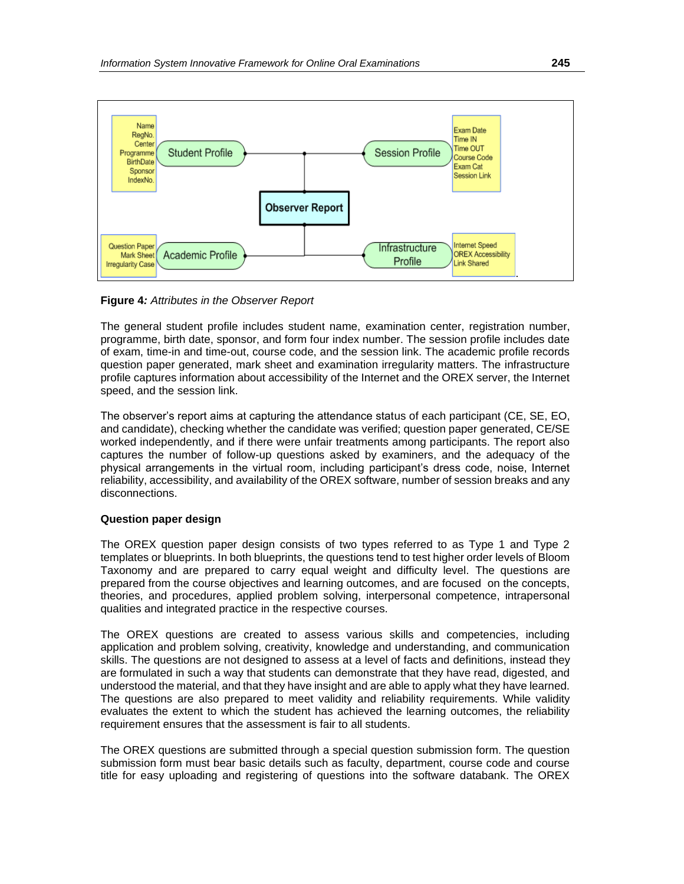

**Figure 4***: Attributes in the Observer Report*

The general student profile includes student name, examination center, registration number, programme, birth date, sponsor, and form four index number. The session profile includes date of exam, time-in and time-out, course code, and the session link. The academic profile records question paper generated, mark sheet and examination irregularity matters. The infrastructure profile captures information about accessibility of the Internet and the OREX server, the Internet speed, and the session link.

The observer's report aims at capturing the attendance status of each participant (CE, SE, EO, and candidate), checking whether the candidate was verified; question paper generated, CE/SE worked independently, and if there were unfair treatments among participants. The report also captures the number of follow-up questions asked by examiners, and the adequacy of the physical arrangements in the virtual room, including participant's dress code, noise, Internet reliability, accessibility, and availability of the OREX software, number of session breaks and any disconnections.

# **Question paper design**

The OREX question paper design consists of two types referred to as Type 1 and Type 2 templates or blueprints. In both blueprints, the questions tend to test higher order levels of Bloom Taxonomy and are prepared to carry equal weight and difficulty level. The questions are prepared from the course objectives and learning outcomes, and are focused on the concepts, theories, and procedures, applied problem solving, interpersonal competence, intrapersonal qualities and integrated practice in the respective courses.

The OREX questions are created to assess various skills and competencies, including application and problem solving, creativity, knowledge and understanding, and communication skills. The questions are not designed to assess at a level of facts and definitions, instead they are formulated in such a way that students can demonstrate that they have read, digested, and understood the material, and that they have insight and are able to apply what they have learned. The questions are also prepared to meet validity and reliability requirements. While validity evaluates the extent to which the student has achieved the learning outcomes, the reliability requirement ensures that the assessment is fair to all students.

The OREX questions are submitted through a special question submission form. The question submission form must bear basic details such as faculty, department, course code and course title for easy uploading and registering of questions into the software databank. The OREX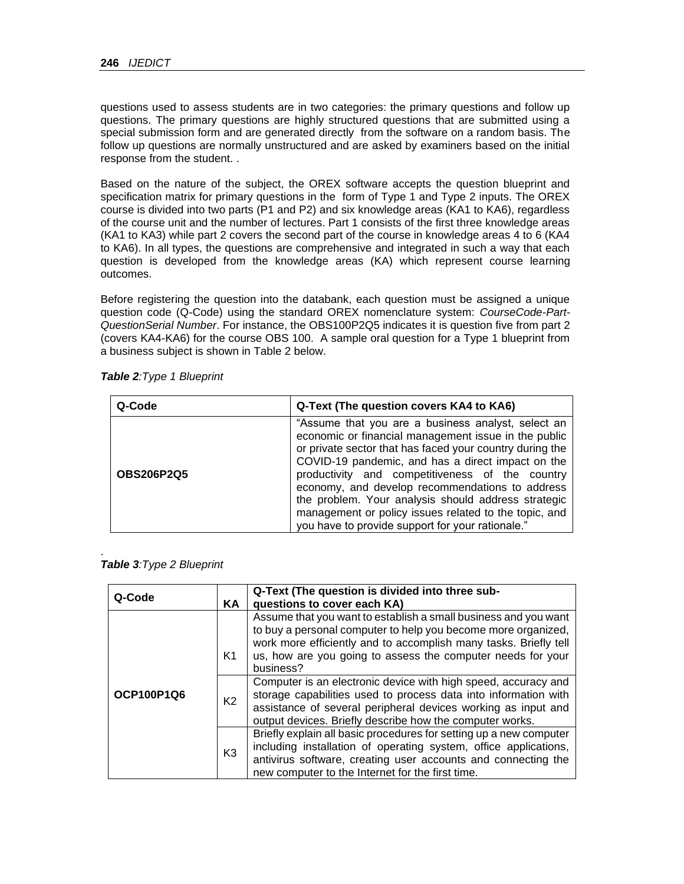questions used to assess students are in two categories: the primary questions and follow up questions. The primary questions are highly structured questions that are submitted using a special submission form and are generated directly from the software on a random basis. The follow up questions are normally unstructured and are asked by examiners based on the initial response from the student. .

Based on the nature of the subject, the OREX software accepts the question blueprint and specification matrix for primary questions in the form of Type 1 and Type 2 inputs. The OREX course is divided into two parts (P1 and P2) and six knowledge areas (KA1 to KA6), regardless of the course unit and the number of lectures. Part 1 consists of the first three knowledge areas (KA1 to KA3) while part 2 covers the second part of the course in knowledge areas 4 to 6 (KA4 to KA6). In all types, the questions are comprehensive and integrated in such a way that each question is developed from the knowledge areas (KA) which represent course learning outcomes.

Before registering the question into the databank, each question must be assigned a unique question code (Q-Code) using the standard OREX nomenclature system: *CourseCode-Part-QuestionSerial Number*. For instance, the OBS100P2Q5 indicates it is question five from part 2 (covers KA4-KA6) for the course OBS 100. A sample oral question for a Type 1 blueprint from a business subject is shown in Table 2 below.

| Q-Code            | Q-Text (The question covers KA4 to KA6)                                                                                                                                                                                                                                                                                                                                                                                                                                                               |
|-------------------|-------------------------------------------------------------------------------------------------------------------------------------------------------------------------------------------------------------------------------------------------------------------------------------------------------------------------------------------------------------------------------------------------------------------------------------------------------------------------------------------------------|
| <b>OBS206P2Q5</b> | "Assume that you are a business analyst, select an<br>economic or financial management issue in the public<br>or private sector that has faced your country during the<br>COVID-19 pandemic, and has a direct impact on the<br>productivity and competitiveness of the country<br>economy, and develop recommendations to address<br>the problem. Your analysis should address strategic<br>management or policy issues related to the topic, and<br>you have to provide support for your rationale." |

|  | Table 2: Type 1 Blueprint |
|--|---------------------------|
|  |                           |

| Table 3: Type 2 Blueprint |  |
|---------------------------|--|

| Q-Code     | <b>KA</b>            | Q-Text (The question is divided into three sub-<br>questions to cover each KA)                                                                                                                                                                                                                                                                                                                                        |
|------------|----------------------|-----------------------------------------------------------------------------------------------------------------------------------------------------------------------------------------------------------------------------------------------------------------------------------------------------------------------------------------------------------------------------------------------------------------------|
| OCP100P1Q6 | K1<br>K <sub>2</sub> | Assume that you want to establish a small business and you want<br>to buy a personal computer to help you become more organized,<br>work more efficiently and to accomplish many tasks. Briefly tell<br>us, how are you going to assess the computer needs for your<br>business?<br>Computer is an electronic device with high speed, accuracy and<br>storage capabilities used to process data into information with |
|            |                      | assistance of several peripheral devices working as input and<br>output devices. Briefly describe how the computer works.                                                                                                                                                                                                                                                                                             |
|            | K <sub>3</sub>       | Briefly explain all basic procedures for setting up a new computer<br>including installation of operating system, office applications,<br>antivirus software, creating user accounts and connecting the<br>new computer to the Internet for the first time.                                                                                                                                                           |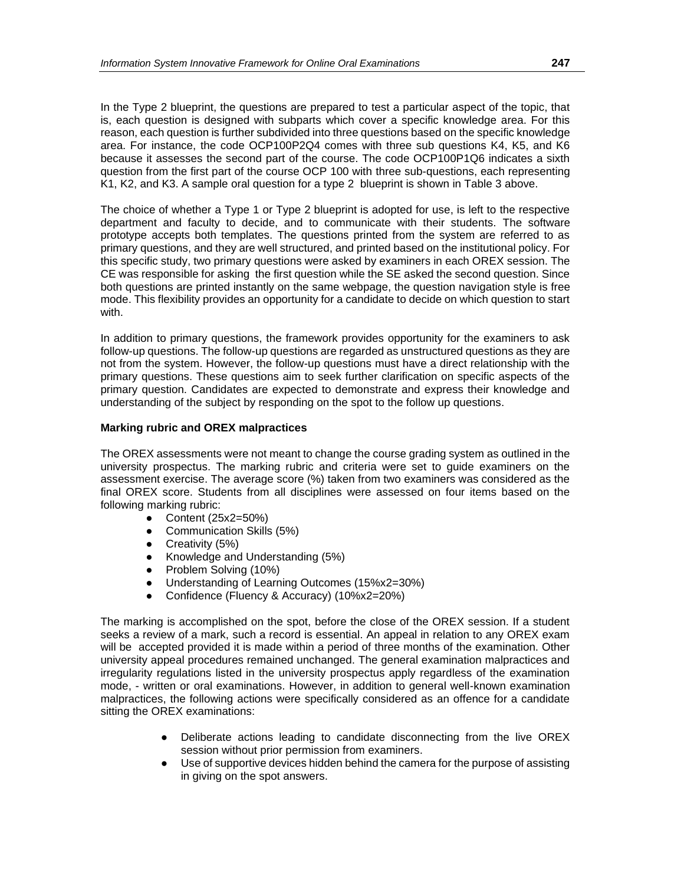In the Type 2 blueprint, the questions are prepared to test a particular aspect of the topic, that is, each question is designed with subparts which cover a specific knowledge area. For this reason, each question is further subdivided into three questions based on the specific knowledge area. For instance, the code OCP100P2Q4 comes with three sub questions K4, K5, and K6 because it assesses the second part of the course. The code OCP100P1Q6 indicates a sixth question from the first part of the course OCP 100 with three sub-questions, each representing K1, K2, and K3. A sample oral question for a type 2 blueprint is shown in Table 3 above.

The choice of whether a Type 1 or Type 2 blueprint is adopted for use, is left to the respective department and faculty to decide, and to communicate with their students. The software prototype accepts both templates. The questions printed from the system are referred to as primary questions, and they are well structured, and printed based on the institutional policy. For this specific study, two primary questions were asked by examiners in each OREX session. The CE was responsible for asking the first question while the SE asked the second question. Since both questions are printed instantly on the same webpage, the question navigation style is free mode. This flexibility provides an opportunity for a candidate to decide on which question to start with.

In addition to primary questions, the framework provides opportunity for the examiners to ask follow-up questions. The follow-up questions are regarded as unstructured questions as they are not from the system. However, the follow-up questions must have a direct relationship with the primary questions. These questions aim to seek further clarification on specific aspects of the primary question. Candidates are expected to demonstrate and express their knowledge and understanding of the subject by responding on the spot to the follow up questions.

#### **Marking rubric and OREX malpractices**

The OREX assessments were not meant to change the course grading system as outlined in the university prospectus. The marking rubric and criteria were set to guide examiners on the assessment exercise. The average score (%) taken from two examiners was considered as the final OREX score. Students from all disciplines were assessed on four items based on the following marking rubric:

- Content (25x2=50%)
- Communication Skills (5%)
- Creativity (5%)
- Knowledge and Understanding (5%)
- Problem Solving (10%)
- Understanding of Learning Outcomes (15%x2=30%)
- Confidence (Fluency & Accuracy) (10%x2=20%)

The marking is accomplished on the spot, before the close of the OREX session. If a student seeks a review of a mark, such a record is essential. An appeal in relation to any OREX exam will be accepted provided it is made within a period of three months of the examination. Other university appeal procedures remained unchanged. The general examination malpractices and irregularity regulations listed in the university prospectus apply regardless of the examination mode, - written or oral examinations. However, in addition to general well-known examination malpractices, the following actions were specifically considered as an offence for a candidate sitting the OREX examinations:

- Deliberate actions leading to candidate disconnecting from the live OREX session without prior permission from examiners.
- Use of supportive devices hidden behind the camera for the purpose of assisting in giving on the spot answers.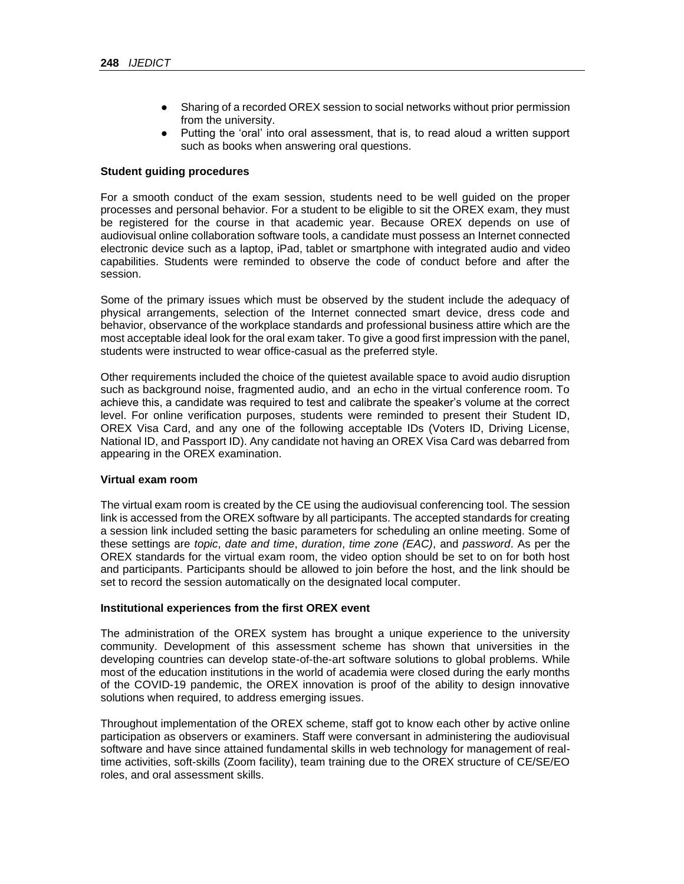- Sharing of a recorded OREX session to social networks without prior permission from the university.
- Putting the 'oral' into oral assessment, that is, to read aloud a written support such as books when answering oral questions.

#### **Student guiding procedures**

For a smooth conduct of the exam session, students need to be well guided on the proper processes and personal behavior. For a student to be eligible to sit the OREX exam, they must be registered for the course in that academic year. Because OREX depends on use of audiovisual online collaboration software tools, a candidate must possess an Internet connected electronic device such as a laptop, iPad, tablet or smartphone with integrated audio and video capabilities. Students were reminded to observe the code of conduct before and after the session.

Some of the primary issues which must be observed by the student include the adequacy of physical arrangements, selection of the Internet connected smart device, dress code and behavior, observance of the workplace standards and professional business attire which are the most acceptable ideal look for the oral exam taker. To give a good first impression with the panel, students were instructed to wear office-casual as the preferred style.

Other requirements included the choice of the quietest available space to avoid audio disruption such as background noise, fragmented audio, and an echo in the virtual conference room. To achieve this, a candidate was required to test and calibrate the speaker's volume at the correct level. For online verification purposes, students were reminded to present their Student ID, OREX Visa Card, and any one of the following acceptable IDs (Voters ID, Driving License, National ID, and Passport ID). Any candidate not having an OREX Visa Card was debarred from appearing in the OREX examination.

#### **Virtual exam room**

The virtual exam room is created by the CE using the audiovisual conferencing tool. The session link is accessed from the OREX software by all participants. The accepted standards for creating a session link included setting the basic parameters for scheduling an online meeting. Some of these settings are *topic*, *date and time*, *duration*, *time zone (EAC)*, and *password*. As per the OREX standards for the virtual exam room, the video option should be set to on for both host and participants. Participants should be allowed to join before the host, and the link should be set to record the session automatically on the designated local computer.

#### **Institutional experiences from the first OREX event**

The administration of the OREX system has brought a unique experience to the university community. Development of this assessment scheme has shown that universities in the developing countries can develop state-of-the-art software solutions to global problems. While most of the education institutions in the world of academia were closed during the early months of the COVID-19 pandemic, the OREX innovation is proof of the ability to design innovative solutions when required, to address emerging issues.

Throughout implementation of the OREX scheme, staff got to know each other by active online participation as observers or examiners. Staff were conversant in administering the audiovisual software and have since attained fundamental skills in web technology for management of realtime activities, soft-skills (Zoom facility), team training due to the OREX structure of CE/SE/EO roles, and oral assessment skills.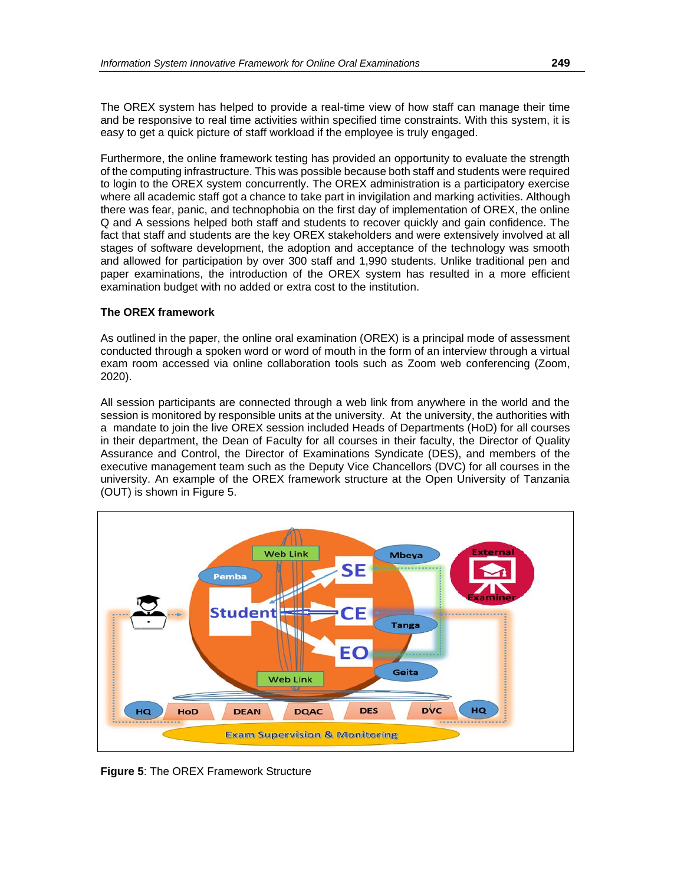The OREX system has helped to provide a real-time view of how staff can manage their time and be responsive to real time activities within specified time constraints. With this system, it is easy to get a quick picture of staff workload if the employee is truly engaged.

Furthermore, the online framework testing has provided an opportunity to evaluate the strength of the computing infrastructure. This was possible because both staff and students were required to login to the OREX system concurrently. The OREX administration is a participatory exercise where all academic staff got a chance to take part in invigilation and marking activities. Although there was fear, panic, and technophobia on the first day of implementation of OREX, the online Q and A sessions helped both staff and students to recover quickly and gain confidence. The fact that staff and students are the key OREX stakeholders and were extensively involved at all stages of software development, the adoption and acceptance of the technology was smooth and allowed for participation by over 300 staff and 1,990 students. Unlike traditional pen and paper examinations, the introduction of the OREX system has resulted in a more efficient examination budget with no added or extra cost to the institution.

## **The OREX framework**

As outlined in the paper, the online oral examination (OREX) is a principal mode of assessment conducted through a spoken word or word of mouth in the form of an interview through a virtual exam room accessed via online collaboration tools such as Zoom web conferencing (Zoom, 2020).

All session participants are connected through a web link from anywhere in the world and the session is monitored by responsible units at the university. At the university, the authorities with a mandate to join the live OREX session included Heads of Departments (HoD) for all courses in their department, the Dean of Faculty for all courses in their faculty, the Director of Quality Assurance and Control, the Director of Examinations Syndicate (DES), and members of the executive management team such as the Deputy Vice Chancellors (DVC) for all courses in the university. An example of the OREX framework structure at the Open University of Tanzania (OUT) is shown in Figure 5.



**Figure 5**: The OREX Framework Structure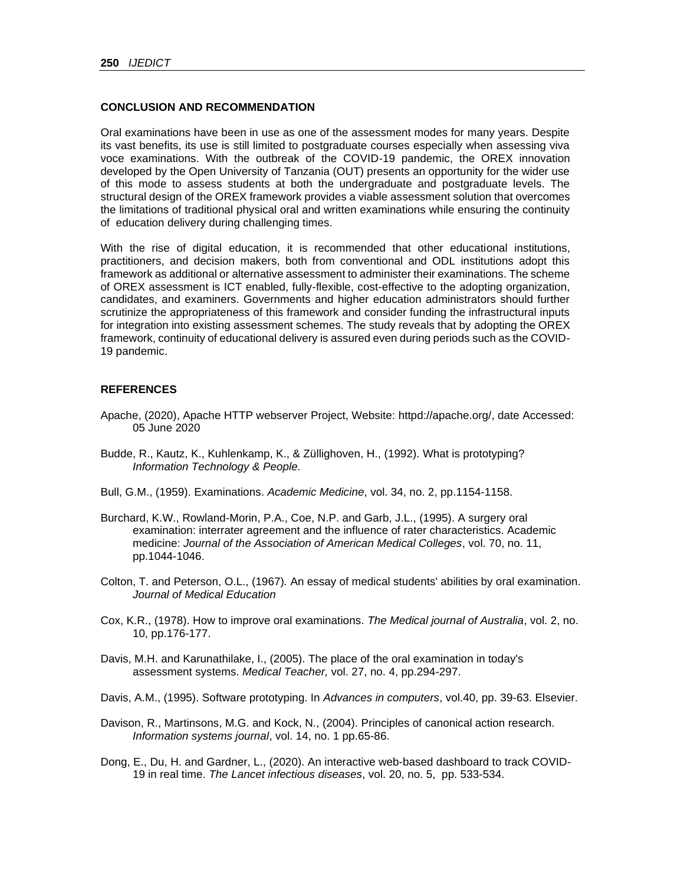### **CONCLUSION AND RECOMMENDATION**

Oral examinations have been in use as one of the assessment modes for many years. Despite its vast benefits, its use is still limited to postgraduate courses especially when assessing viva voce examinations. With the outbreak of the COVID-19 pandemic, the OREX innovation developed by the Open University of Tanzania (OUT) presents an opportunity for the wider use of this mode to assess students at both the undergraduate and postgraduate levels. The structural design of the OREX framework provides a viable assessment solution that overcomes the limitations of traditional physical oral and written examinations while ensuring the continuity of education delivery during challenging times.

With the rise of digital education, it is recommended that other educational institutions, practitioners, and decision makers, both from conventional and ODL institutions adopt this framework as additional or alternative assessment to administer their examinations. The scheme of OREX assessment is ICT enabled, fully-flexible, cost-effective to the adopting organization, candidates, and examiners. Governments and higher education administrators should further scrutinize the appropriateness of this framework and consider funding the infrastructural inputs for integration into existing assessment schemes. The study reveals that by adopting the OREX framework, continuity of educational delivery is assured even during periods such as the COVID-19 pandemic.

## **REFERENCES**

- Apache, (2020), Apache HTTP webserver Project, Website: httpd://apache.org/, date Accessed: 05 June 2020
- Budde, R., Kautz, K., Kuhlenkamp, K., & Züllighoven, H., (1992). What is prototyping? *Information Technology & People.*
- Bull, G.M., (1959). Examinations. *Academic Medicine*, vol. 34, no. 2, pp.1154-1158.
- Burchard, K.W., Rowland-Morin, P.A., Coe, N.P. and Garb, J.L., (1995). A surgery oral examination: interrater agreement and the influence of rater characteristics. Academic medicine: *Journal of the Association of American Medical Colleges*, vol. 70, no. 11, pp.1044-1046.
- Colton, T. and Peterson, O.L., (1967)*.* An essay of medical students' abilities by oral examination. *Journal of Medical Education*
- Cox, K.R., (1978). How to improve oral examinations. *The Medical journal of Australia*, vol. 2, no. 10, pp.176-177.
- Davis, M.H. and Karunathilake, I., (2005). The place of the oral examination in today's assessment systems. *Medical Teacher,* vol. 27, no. 4, pp.294-297.
- Davis, A.M., (1995). Software prototyping. In *Advances in computers*, vol.40, pp. 39-63. Elsevier.
- Davison, R., Martinsons, M.G. and Kock, N., (2004). Principles of canonical action research. *Information systems journal*, vol. 14, no. 1 pp.65-86.
- Dong, E., Du, H. and Gardner, L., (2020). An interactive web-based dashboard to track COVID-19 in real time. *The Lancet infectious diseases*, vol. 20, no. 5, pp. 533-534.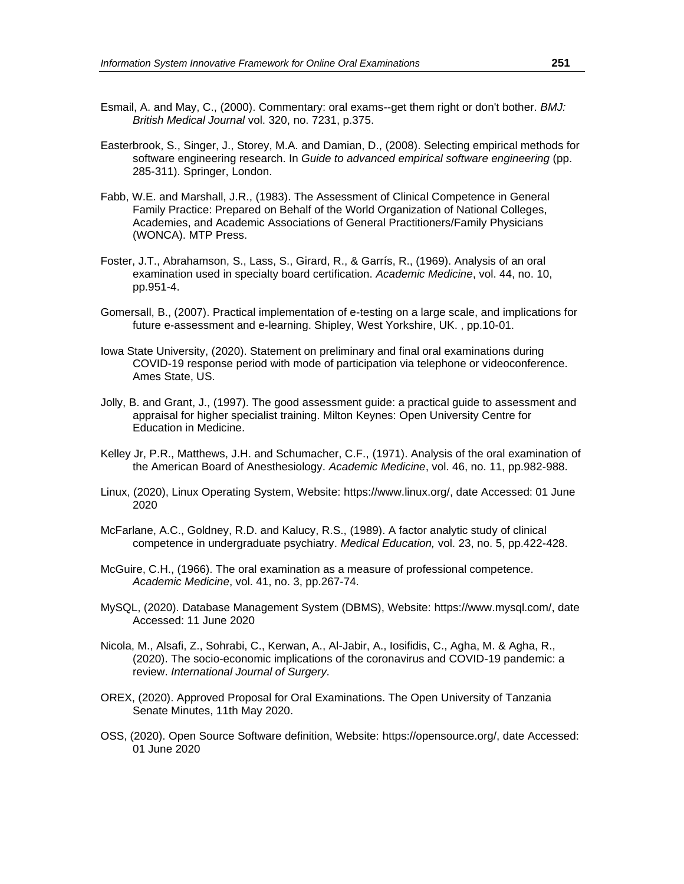- Esmail, A. and May, C., (2000). Commentary: oral exams--get them right or don't bother. *BMJ: British Medical Journal* vol. 320, no. 7231, p.375.
- Easterbrook, S., Singer, J., Storey, M.A. and Damian, D., (2008). Selecting empirical methods for software engineering research. In *Guide to advanced empirical software engineering* (pp. 285-311). Springer, London.
- Fabb, W.E. and Marshall, J.R., (1983). The Assessment of Clinical Competence in General Family Practice: Prepared on Behalf of the World Organization of National Colleges, Academies, and Academic Associations of General Practitioners/Family Physicians (WONCA). MTP Press.
- Foster, J.T., Abrahamson, S., Lass, S., Girard, R., & Garrís, R., (1969). Analysis of an oral examination used in specialty board certification. *Academic Medicine*, vol. 44, no. 10, pp.951-4.
- Gomersall, B., (2007). Practical implementation of e-testing on a large scale, and implications for future e-assessment and e-learning. Shipley, West Yorkshire, UK. , pp.10-01.
- Iowa State University, (2020). Statement on preliminary and final oral examinations during COVID-19 response period with mode of participation via telephone or videoconference. Ames State, US.
- Jolly, B. and Grant, J., (1997). The good assessment guide: a practical guide to assessment and appraisal for higher specialist training. Milton Keynes: Open University Centre for Education in Medicine.
- Kelley Jr, P.R., Matthews, J.H. and Schumacher, C.F., (1971). Analysis of the oral examination of the American Board of Anesthesiology. *Academic Medicine*, vol. 46, no. 11, pp.982-988.
- Linux, (2020), Linux Operating System, Website: [https://www.linux.org/,](https://www.linux.org/) date Accessed: 01 June 2020
- McFarlane, A.C., Goldney, R.D. and Kalucy, R.S., (1989). A factor analytic study of clinical competence in undergraduate psychiatry. *Medical Education,* vol. 23, no. 5, pp.422-428.
- McGuire, C.H., (1966). The oral examination as a measure of professional competence. *Academic Medicine*, vol. 41, no. 3, pp.267-74.
- MySQL, (2020). Database Management System (DBMS), Website: [https://www.mysql.com/,](https://www.mysql.com/) date Accessed: 11 June 2020
- Nicola, M., Alsafi, Z., Sohrabi, C., Kerwan, A., Al-Jabir, A., Iosifidis, C., Agha, M. & Agha, R., (2020). The socio-economic implications of the coronavirus and COVID-19 pandemic: a review. *International Journal of Surgery.*
- OREX, (2020). Approved Proposal for Oral Examinations. The Open University of Tanzania Senate Minutes, 11th May 2020.
- OSS, (2020). Open Source Software definition, Website: [https://opensource.org/,](https://opensource.org/) date Accessed: 01 June 2020